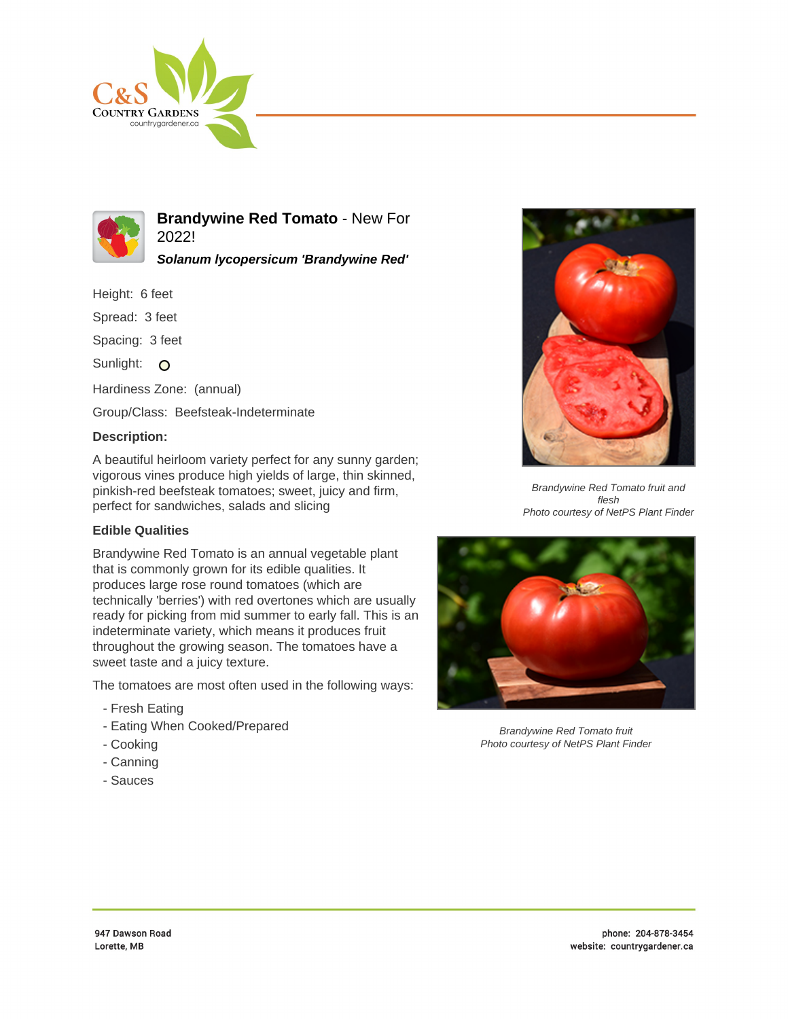



**Brandywine Red Tomato** - New For 2022!

**Solanum lycopersicum 'Brandywine Red'**

Height: 6 feet

Spread: 3 feet

Spacing: 3 feet

Sunlight: O

Hardiness Zone: (annual)

Group/Class: Beefsteak-Indeterminate

## **Description:**

A beautiful heirloom variety perfect for any sunny garden; vigorous vines produce high yields of large, thin skinned, pinkish-red beefsteak tomatoes; sweet, juicy and firm, perfect for sandwiches, salads and slicing

## **Edible Qualities**

Brandywine Red Tomato is an annual vegetable plant that is commonly grown for its edible qualities. It produces large rose round tomatoes (which are technically 'berries') with red overtones which are usually ready for picking from mid summer to early fall. This is an indeterminate variety, which means it produces fruit throughout the growing season. The tomatoes have a sweet taste and a juicy texture.

The tomatoes are most often used in the following ways:

- Fresh Eating
- Eating When Cooked/Prepared
- Cooking
- Canning
- Sauces



Brandywine Red Tomato fruit and flesh Photo courtesy of NetPS Plant Finder



Brandywine Red Tomato fruit Photo courtesy of NetPS Plant Finder